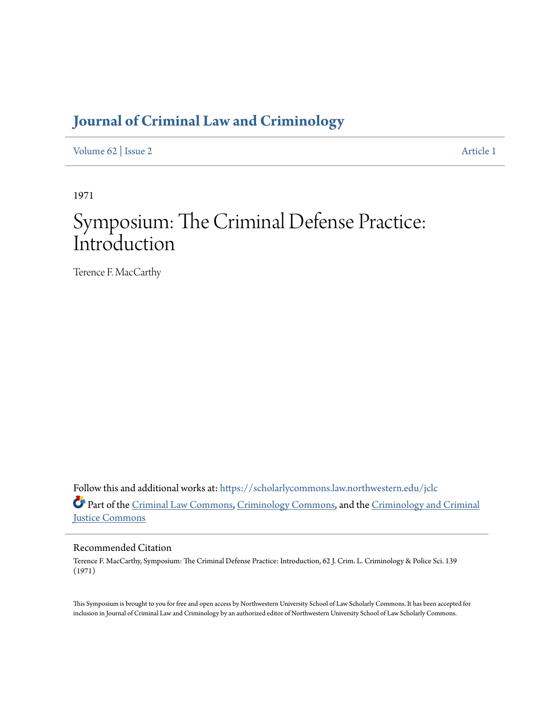### **[Journal of Criminal Law and Criminology](https://scholarlycommons.law.northwestern.edu/jclc?utm_source=scholarlycommons.law.northwestern.edu%2Fjclc%2Fvol62%2Fiss2%2F1&utm_medium=PDF&utm_campaign=PDFCoverPages)**

[Volume 62](https://scholarlycommons.law.northwestern.edu/jclc/vol62?utm_source=scholarlycommons.law.northwestern.edu%2Fjclc%2Fvol62%2Fiss2%2F1&utm_medium=PDF&utm_campaign=PDFCoverPages) | [Issue 2](https://scholarlycommons.law.northwestern.edu/jclc/vol62/iss2?utm_source=scholarlycommons.law.northwestern.edu%2Fjclc%2Fvol62%2Fiss2%2F1&utm_medium=PDF&utm_campaign=PDFCoverPages) [Article 1](https://scholarlycommons.law.northwestern.edu/jclc/vol62/iss2/1?utm_source=scholarlycommons.law.northwestern.edu%2Fjclc%2Fvol62%2Fiss2%2F1&utm_medium=PDF&utm_campaign=PDFCoverPages)

1971

# Symposium: The Criminal Defense Practice: Introduction

Terence F. MacCarthy

Follow this and additional works at: [https://scholarlycommons.law.northwestern.edu/jclc](https://scholarlycommons.law.northwestern.edu/jclc?utm_source=scholarlycommons.law.northwestern.edu%2Fjclc%2Fvol62%2Fiss2%2F1&utm_medium=PDF&utm_campaign=PDFCoverPages) Part of the [Criminal Law Commons](http://network.bepress.com/hgg/discipline/912?utm_source=scholarlycommons.law.northwestern.edu%2Fjclc%2Fvol62%2Fiss2%2F1&utm_medium=PDF&utm_campaign=PDFCoverPages), [Criminology Commons](http://network.bepress.com/hgg/discipline/417?utm_source=scholarlycommons.law.northwestern.edu%2Fjclc%2Fvol62%2Fiss2%2F1&utm_medium=PDF&utm_campaign=PDFCoverPages), and the [Criminology and Criminal](http://network.bepress.com/hgg/discipline/367?utm_source=scholarlycommons.law.northwestern.edu%2Fjclc%2Fvol62%2Fiss2%2F1&utm_medium=PDF&utm_campaign=PDFCoverPages) [Justice Commons](http://network.bepress.com/hgg/discipline/367?utm_source=scholarlycommons.law.northwestern.edu%2Fjclc%2Fvol62%2Fiss2%2F1&utm_medium=PDF&utm_campaign=PDFCoverPages)

Recommended Citation

Terence F. MacCarthy, Symposium: The Criminal Defense Practice: Introduction, 62 J. Crim. L. Criminology & Police Sci. 139 (1971)

This Symposium is brought to you for free and open access by Northwestern University School of Law Scholarly Commons. It has been accepted for inclusion in Journal of Criminal Law and Criminology by an authorized editor of Northwestern University School of Law Scholarly Commons.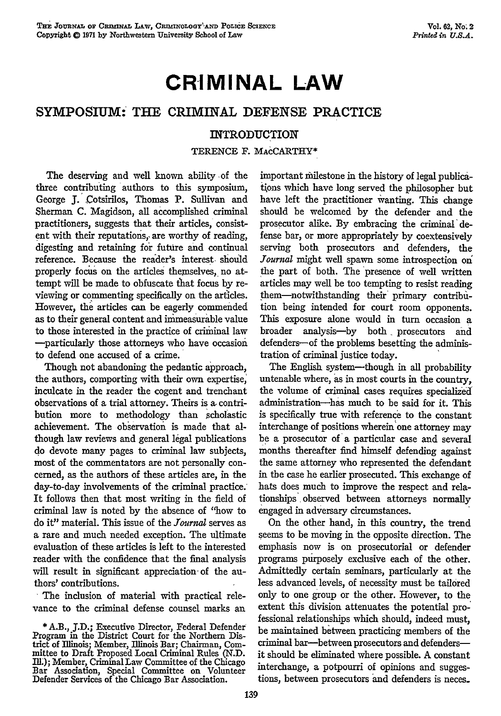## **CRIMINAL LAW**

#### **SYMPOSIUM: THE** CRIMINAL **DEFENSE** PRACTICE

#### INTRODUCTION

TERENCE F. MAcCARTHY\*

The deserving and well known ability of the three contributing authors to this symposium, George J. Cotsirilos, Thomas P. Sullivan and Sherman C. Magidson, all accomplished criminal practitioners, suggests that their articles, consistent with their reputations, are worthy of reading, digesting and retaining for future and continual reference. Because the reader's interest should properly focus on the articles themselves, no attempt will be made to obfuscate that focus **by** reviewing or commenting specifically on the articles. However, the articles can be eagerly commended as to their general content and immeasurable value to those interested in the practice of criminal law -particularly those attorneys who have occasion to defend one accused of a crime.

Though not abandoning the pedantic approach, the authors, comporting with their own expertise, inculcate in the reader the cogent and trenchant observations of a trial attorney. Theirs is **a,** contribution more to methodology than scholastic achievement. The observation is made that although law reviews and general legal publications do devote many pages to criminal law subjects, most of the commentators are not personally concerned, as the authors of these articles are, in the day-to-day involvements of the criminal practice. It follows then that most writing in the field of criminal law is noted **by** the absence of "how to do it" material. This issue of the *Journal* serves as a rare and much needed exception. The ultimate evaluation of these articles is left to the interested reader with the confidence that the final analysis will result in significant appreciation of the authors' contributions.

The inclusion of material with practical relevance to the criminal defense counsel marks an

**\*** A.B., **J.D.;** Executive Director, Federal Defender Program in the District Court for the Northern District of Illinois; Member, Illinois Bar; Chairman, Committee to Draft Proposed Local Criminal Rules (N.D. Ill.); Member, Criminal Law Committee of the Chicago Bar Association, Special Committee on Volunteer Defender Services of the Chicago Bar Association. important milestone in the history of legal publications which have long served the philosopher but have left the practitioner wanting. This change should be welcomed by the defender and the prosecutor alike. By embracing the criminal defense bar, or more appropriately by coextensively serving both prosecutors and defenders, the *.Tournal* might well spawn some introspection on the part of both. The "presence of well written articles may well be too tempting to resist reading them-notwithstanding their primary contribution being intended for court room opponents. This exposure alone would in turn occasion a broader analysis-by both prosecutors and defenders--of the problems besetting the administration of criminal justice today.

The English system-though in all probability untenable where, as in most courts in the country, the volume of criminal cases requires specialized administration-has much to be said for it. This is specifically true with reference to the constant interchange of positions wherein'one attorney may be a prosecutor of a particular case and several months thereafter find himself defending against the same attorney who represented the defendant in the case he earlier prosecuted. This exchange of hats does much to improve the respect and relationships, observed between attorneys normally engaged in adversary circumstances.

On the other hand, in this country, the trend seems to be moving in the opposite direction. The emphasis now is on prosecutorial or defender programs purposely exclusive each of the other. Admittedly certain seminars, particularly at the less advanced levels, of necessity must be tailored only to one group or the other. However, to the extent this division attenuates the potential professional relationships which should, indeed must, be maintained between practicing members of the criminal bar-between prosecutors and defendersit should be eliminated where possible. A constant interchange, a potpourri of opinions and suggestions, between prosecutors and defenders is neces.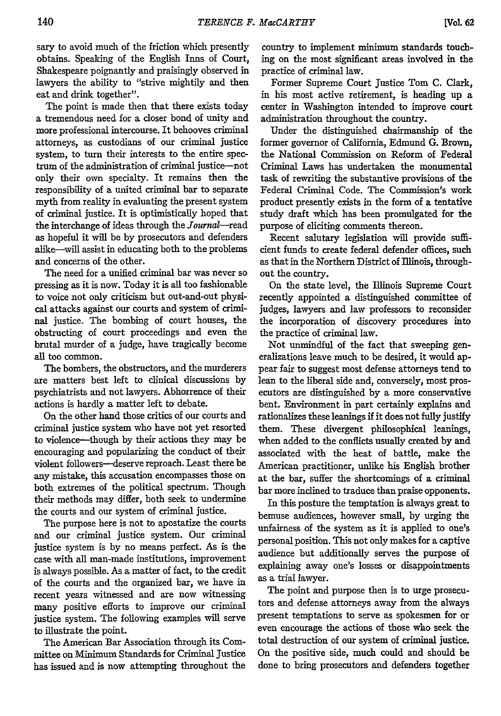sary to avoid much of the friction which presently obtains. Speaking of the English Inns of Court, Shakespeare poignantly and praisingly observed in lawyers the ability to "strive mightily and then eat and drink together".

The point is made then that there exists today a tremendous need for a closer bond of unity and more professional intercourse. It behooves criminal attorneys, as custodians of our criminal justice system, to turn their interests to the entire spectrum of the administration of criminal justice--not only their own specialty. It remains then the responsibility of a united criminal bar to separate myth from reality in evaluating the present system of criminal justice. It is optimistically hoped that the interchange of ideas through the Journal-read as hopeful it will be by prosecutors and defenders alike--will assist in educating both to the problems and concerns of the other.

The need for a unified criminal bar was never so pressing as it is now. Today it is all too fashionable to voice not only criticism but out-and-out physical attacks against our courts and system of criminal justice. The bombing of court houses, the obstructing of court proceedings and even the brutal murder of a judge, have tragically become all too common.

The bombers, the obstructors, and the murderers are matters best left to clinical discussions by psychiatrists and not lawyers. Abhorrence of their actions is hardly a matter left to debate.

On the other hand those critics of our courts and criminal justice system who have not yet resorted to violence-though by their actions they may be encouraging and popularizing the conduct of their violent followers-deserve reproach. Least there be any mistake, this accusation encompasses those on both extremes of the political spectrum. Though their methods may differ, both seek to undermine the courts and our system of criminal justice.

The purpose here is not to apostatize the courts and our criminal justice system. Our criminal justice system is by no means perfect. As is the case with all man-made institutions, improvement is always possible. As a matter of fact, to the credit of the courts and the organized bar, we have in recent years witnessed and are now witnessing many positive efforts to improve our criminal justice system. The following examples will serve to illustrate the point.

The American Bar Association through its Committee on Minimum Standards for Criminal Justice has issued and is now attempting throughout the

country to implement minimum standards touching on the most significant areas involved in the practice of criminal law.

Former Supreme Court Justice Tom C. Clark, in his most active retirement, is heading up a center in Washington intended to improve court administration throughout the country.

Under the distinguished chairmanship of the former governor of California, Edmund **G.** Brown, the National Commission on Reform of Federal Criminal Laws has undertaken the monumental task of rewriting the substantive provisions of the Federal Criminal Code. The Commission's work product presently exists in the form of a tentative study draft which has been promulgated for the purpose of eliciting comments thereon.

Recent salutary legislation will provide sufficient funds to create federal defender offices, such as that in the Northern District of Illinois, throughout the country.

On the state level, the Illinois Supreme Court recently appointed a distinguished committee of judges, lawyers and law professors to reconsider the incorporation of discovery procedures into the practice of criminal law.

Not unmindful of the fact that sweeping generalizations leave much to be desired, it would appear fair to suggest most defense attorneys tend to lean to the liberal side and, conversely, most prosecutors are distinguished by a more conservative bent. Environment in part certainly explains and rationalizes these leanings if it does not fully justify them. These divergent philosophical leanings, when added to the conflicts usually created by and associated with the heat of battle, make the American practitioner, unlike his English brother at the bar, suffer the shortcomings of a criminal bar more inclined to traduce than praise opponents.

In this posture the temptation is always great to bemuse audiences, however small, by urging the unfairness of the system as it is applied to one's personal position. This not only makes for a captive audience but additionally serves the purpose of explaining away one's losses or disappointments as a trial lawyer.

The point and purpose then is to urge prosecutors and defense attorneys away from the always present temptations to serve as spokesmen for or even encourage the actions of those who seek the total destruction of our system of criminal justice. On the positive side, much could and should be done to bring prosecutors and defenders together